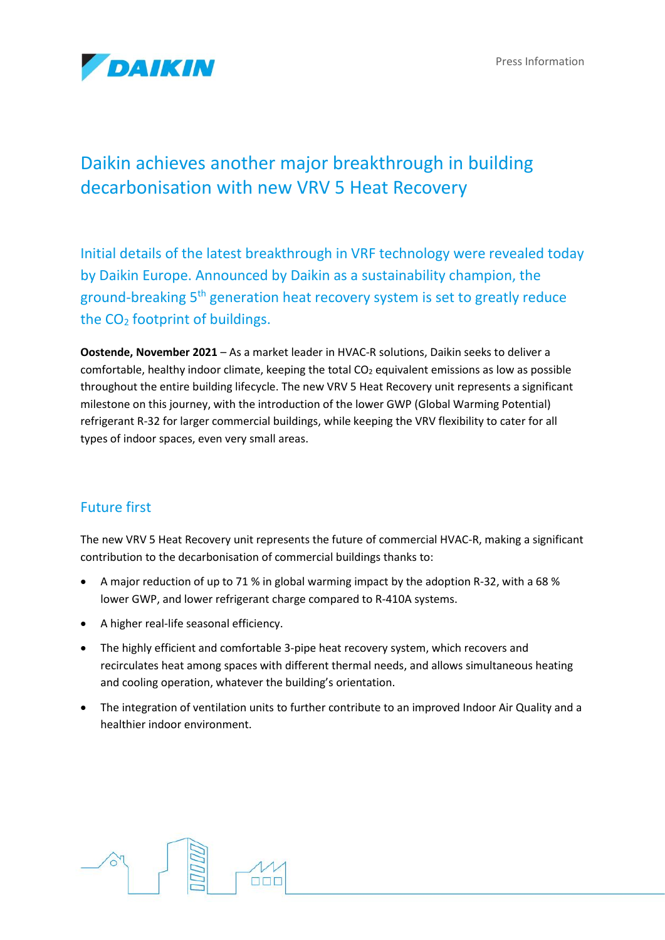Press Information



# Daikin achieves another major breakthrough in building decarbonisation with new VRV 5 Heat Recovery

Initial details of the latest breakthrough in VRF technology were revealed today by Daikin Europe. Announced by Daikin as a sustainability champion, the ground-breaking 5<sup>th</sup> generation heat recovery system is set to greatly reduce the  $CO<sub>2</sub>$  footprint of buildings.

**Oostende, November 2021** – As a market leader in HVAC-R solutions, Daikin seeks to deliver a comfortable, healthy indoor climate, keeping the total  $CO<sub>2</sub>$  equivalent emissions as low as possible throughout the entire building lifecycle. The new VRV 5 Heat Recovery unit represents a significant milestone on this journey, with the introduction of the lower GWP (Global Warming Potential) refrigerant R-32 for larger commercial buildings, while keeping the VRV flexibility to cater for all types of indoor spaces, even very small areas.

## Future first

The new VRV 5 Heat Recovery unit represents the future of commercial HVAC-R, making a significant contribution to the decarbonisation of commercial buildings thanks to:

- A major reduction of up to 71 % in global warming impact by the adoption R-32, with a 68 % lower GWP, and lower refrigerant charge compared to R-410A systems.
- A higher real-life seasonal efficiency.
- The highly efficient and comfortable 3-pipe heat recovery system, which recovers and recirculates heat among spaces with different thermal needs, and allows simultaneous heating and cooling operation, whatever the building's orientation.
- The integration of ventilation units to further contribute to an improved Indoor Air Quality and a healthier indoor environment.

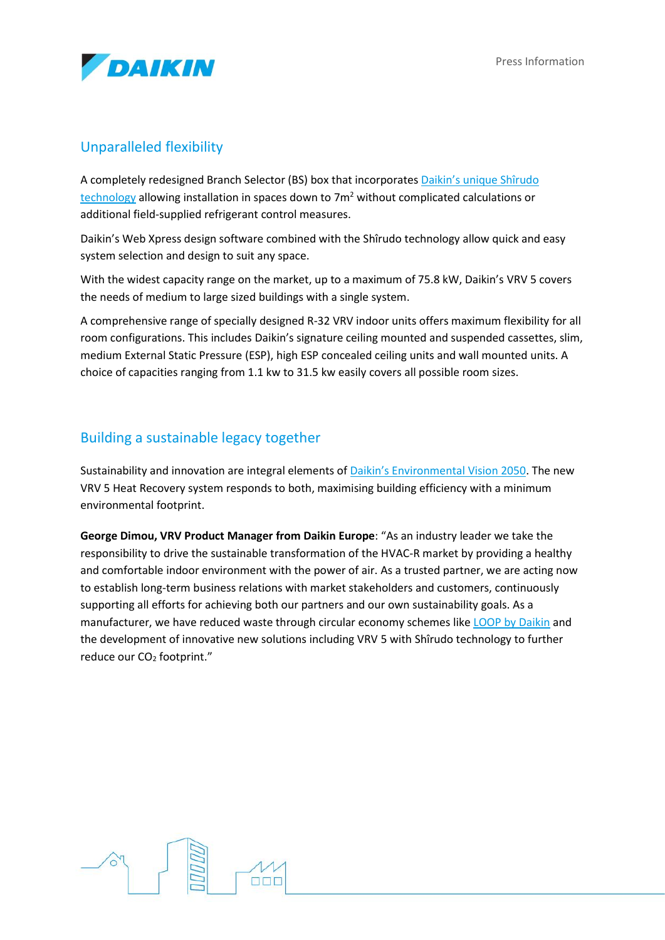

### Unparalleled flexibility

A completely redesigned Branch Selector (BS) box that incorporates [Daikin's unique Shîrudo](https://www.daikin-ce.com/en_us/daikin-blog/different-standards-f-gas-safety.html)  [technology](https://www.daikin-ce.com/en_us/daikin-blog/different-standards-f-gas-safety.html) allowing installation in spaces down to  $7<sup>m²</sup>$  without complicated calculations or additional field-supplied refrigerant control measures.

Daikin's Web Xpress design software combined with the Shîrudo technology allow quick and easy system selection and design to suit any space.

With the widest capacity range on the market, up to a maximum of 75.8 kW, Daikin's VRV 5 covers the needs of medium to large sized buildings with a single system.

A comprehensive range of specially designed R-32 VRV indoor units offers maximum flexibility for all room configurations. This includes Daikin's signature ceiling mounted and suspended cassettes, slim, medium External Static Pressure (ESP), high ESP concealed ceiling units and wall mounted units. A choice of capacities ranging from 1.1 kw to 31.5 kw easily covers all possible room sizes.

### Building a sustainable legacy together

Sustainability and innovation are integral elements of [Daikin's Environmental Vision 2050](https://www.daikin-ce.com/en_us/about/responsibility/environmental-vision.html). The new VRV 5 Heat Recovery system responds to both, maximising building efficiency with a minimum environmental footprint.

**George Dimou, VRV Product Manager from Daikin Europe**: "As an industry leader we take the responsibility to drive the sustainable transformation of the HVAC-R market by providing a healthy and comfortable indoor environment with the power of air. As a trusted partner, we are acting now to establish long-term business relations with market stakeholders and customers, continuously supporting all efforts for achieving both our partners and our own sustainability goals. As a manufacturer, we have reduced waste through circular economy schemes like [LOOP by Daikin](https://www.daikin-ce.com/en_us/about/environmental-responsibility/loop-by-daikin.html) and the development of innovative new solutions including VRV 5 with Shîrudo technology to further reduce our CO<sub>2</sub> footprint."